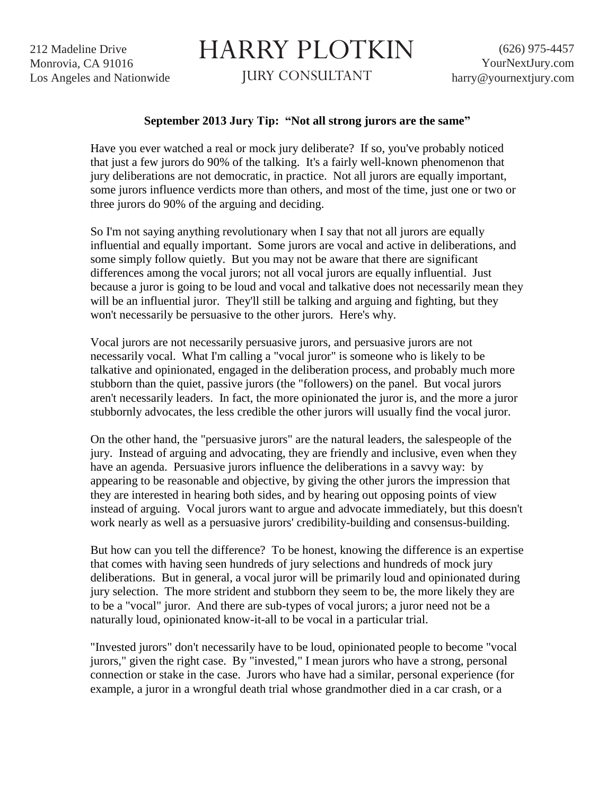212 Madeline Drive Monrovia, CA 91016 Los Angeles and Nationwide

## HARRY PLOTKIN

JURY CONSULTANT

## **September 2013 Jury Tip: "Not all strong jurors are the same"**

Have you ever watched a real or mock jury deliberate? If so, you've probably noticed that just a few jurors do 90% of the talking. It's a fairly well-known phenomenon that jury deliberations are not democratic, in practice. Not all jurors are equally important, some jurors influence verdicts more than others, and most of the time, just one or two or three jurors do 90% of the arguing and deciding.

So I'm not saying anything revolutionary when I say that not all jurors are equally influential and equally important. Some jurors are vocal and active in deliberations, and some simply follow quietly. But you may not be aware that there are significant differences among the vocal jurors; not all vocal jurors are equally influential. Just because a juror is going to be loud and vocal and talkative does not necessarily mean they will be an influential juror. They'll still be talking and arguing and fighting, but they won't necessarily be persuasive to the other jurors. Here's why.

Vocal jurors are not necessarily persuasive jurors, and persuasive jurors are not necessarily vocal. What I'm calling a "vocal juror" is someone who is likely to be talkative and opinionated, engaged in the deliberation process, and probably much more stubborn than the quiet, passive jurors (the "followers) on the panel. But vocal jurors aren't necessarily leaders. In fact, the more opinionated the juror is, and the more a juror stubbornly advocates, the less credible the other jurors will usually find the vocal juror.

On the other hand, the "persuasive jurors" are the natural leaders, the salespeople of the jury. Instead of arguing and advocating, they are friendly and inclusive, even when they have an agenda. Persuasive jurors influence the deliberations in a savvy way: by appearing to be reasonable and objective, by giving the other jurors the impression that they are interested in hearing both sides, and by hearing out opposing points of view instead of arguing. Vocal jurors want to argue and advocate immediately, but this doesn't work nearly as well as a persuasive jurors' credibility-building and consensus-building.

But how can you tell the difference? To be honest, knowing the difference is an expertise that comes with having seen hundreds of jury selections and hundreds of mock jury deliberations. But in general, a vocal juror will be primarily loud and opinionated during jury selection. The more strident and stubborn they seem to be, the more likely they are to be a "vocal" juror. And there are sub-types of vocal jurors; a juror need not be a naturally loud, opinionated know-it-all to be vocal in a particular trial.

"Invested jurors" don't necessarily have to be loud, opinionated people to become "vocal jurors," given the right case. By "invested," I mean jurors who have a strong, personal connection or stake in the case. Jurors who have had a similar, personal experience (for example, a juror in a wrongful death trial whose grandmother died in a car crash, or a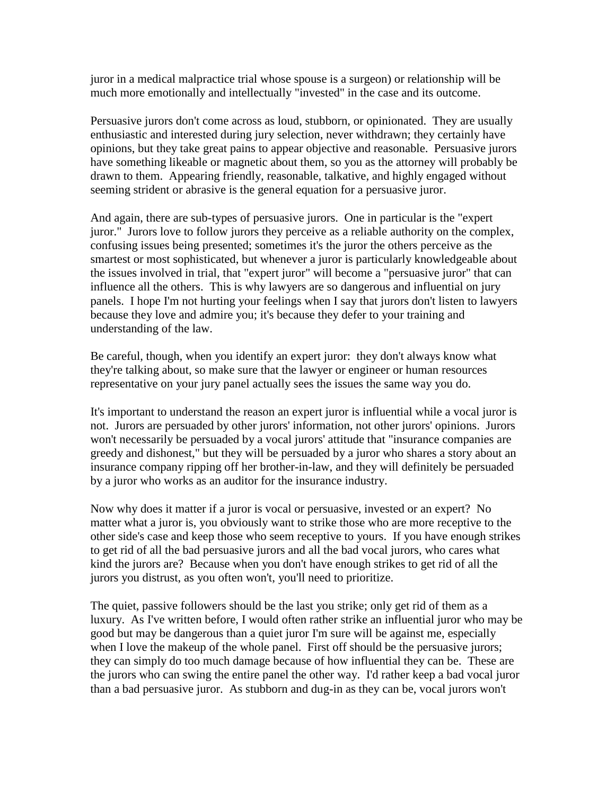juror in a medical malpractice trial whose spouse is a surgeon) or relationship will be much more emotionally and intellectually "invested" in the case and its outcome.

Persuasive jurors don't come across as loud, stubborn, or opinionated. They are usually enthusiastic and interested during jury selection, never withdrawn; they certainly have opinions, but they take great pains to appear objective and reasonable. Persuasive jurors have something likeable or magnetic about them, so you as the attorney will probably be drawn to them. Appearing friendly, reasonable, talkative, and highly engaged without seeming strident or abrasive is the general equation for a persuasive juror.

And again, there are sub-types of persuasive jurors. One in particular is the "expert juror." Jurors love to follow jurors they perceive as a reliable authority on the complex, confusing issues being presented; sometimes it's the juror the others perceive as the smartest or most sophisticated, but whenever a juror is particularly knowledgeable about the issues involved in trial, that "expert juror" will become a "persuasive juror" that can influence all the others. This is why lawyers are so dangerous and influential on jury panels. I hope I'm not hurting your feelings when I say that jurors don't listen to lawyers because they love and admire you; it's because they defer to your training and understanding of the law.

Be careful, though, when you identify an expert juror: they don't always know what they're talking about, so make sure that the lawyer or engineer or human resources representative on your jury panel actually sees the issues the same way you do.

It's important to understand the reason an expert juror is influential while a vocal juror is not. Jurors are persuaded by other jurors' information, not other jurors' opinions. Jurors won't necessarily be persuaded by a vocal jurors' attitude that "insurance companies are greedy and dishonest," but they will be persuaded by a juror who shares a story about an insurance company ripping off her brother-in-law, and they will definitely be persuaded by a juror who works as an auditor for the insurance industry.

Now why does it matter if a juror is vocal or persuasive, invested or an expert? No matter what a juror is, you obviously want to strike those who are more receptive to the other side's case and keep those who seem receptive to yours. If you have enough strikes to get rid of all the bad persuasive jurors and all the bad vocal jurors, who cares what kind the jurors are? Because when you don't have enough strikes to get rid of all the jurors you distrust, as you often won't, you'll need to prioritize.

The quiet, passive followers should be the last you strike; only get rid of them as a luxury. As I've written before, I would often rather strike an influential juror who may be good but may be dangerous than a quiet juror I'm sure will be against me, especially when I love the makeup of the whole panel. First off should be the persuasive jurors; they can simply do too much damage because of how influential they can be. These are the jurors who can swing the entire panel the other way. I'd rather keep a bad vocal juror than a bad persuasive juror. As stubborn and dug-in as they can be, vocal jurors won't